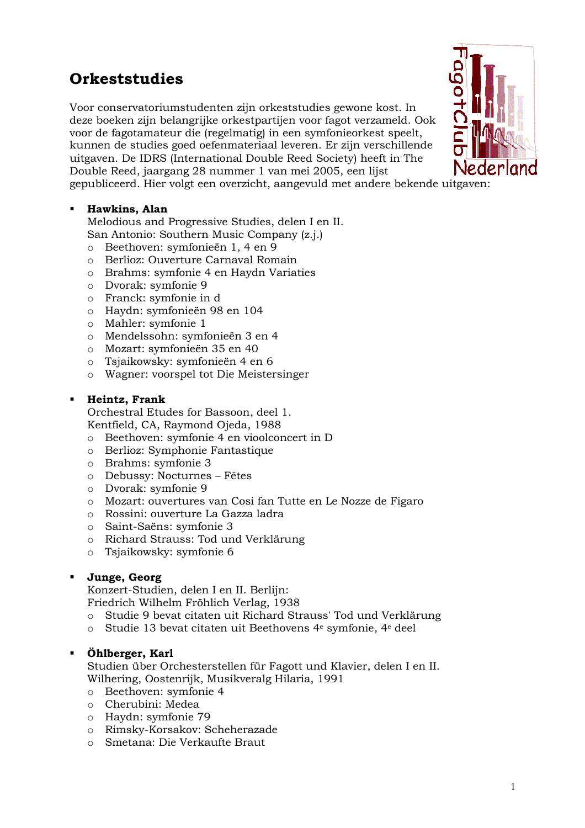# **Orkeststudies**

Voor conservatoriumstudenten zijn orkeststudies gewone kost. In deze boeken zijn belangrijke orkestpartijen voor fagot verzameld. Ook voor de fagotamateur die (regelmatig) in een symfonieorkest speelt, kunnen de studies goed oefenmateriaal leveren. Er zijn verschillende uitgaven. De IDRS (International Double Reed Society) heeft in The Double Reed, jaargang 28 nummer 1 van mei 2005, een lijst

gepubliceerd. Hier volgt een overzicht, aangevuld met andere bekende uitgaven:

# Hawkins, Alan

Melodious and Progressive Studies, delen I en II. San Antonio: Southern Music Company (z.j.)

- o Beethoven: symfonieën 1, 4 en 9
- o Berlioz: Ouverture Carnaval Romain
- o Brahms: symfonie 4 en Haydn Variaties
- o Dvorak: symfonie 9
- o Franck: symfonie in d
- o Haydn: symfonieën 98 en 104
- o Mahler: symfonie 1
- o Mendelssohn: symfonieën 3 en 4
- o Mozart: symfonieën 35 en 40
- o Tsiaikowsky: symfonieën 4 en 6
- o Wagner: voorspel tot Die Meistersinger

#### Heintz, Frank  $\blacksquare$

Orchestral Etudes for Bassoon, deel 1. Kentfield, CA, Raymond Ojeda, 1988

- o Beethoven: symfonie 4 en vioolconcert in D
- o Berlioz: Symphonie Fantastique
- o Brahms: symfonie 3
- o Debussy: Nocturnes Fêtes
- o Dvorak: symfonie 9
- o Mozart: ouvertures van Cosi fan Tutte en Le Nozze de Figaro
- o Rossini: ouverture La Gazza ladra
- o Saint-Saëns: symfonie 3
- o Richard Strauss: Tod und Verklärung
- o Tsjaikowsky: symfonie 6

### Junge, Georg

Konzert-Studien, delen I en II. Berlijn: Friedrich Wilhelm Fröhlich Verlag, 1938

- Studie 9 bevat citaten uit Richard Strauss' Tod und Verklärung
- o Studie 13 bevat citaten uit Beethovens 4<sup>e</sup> symfonie, 4<sup>e</sup> deel

#### Öhlberger, Karl

Studien über Orchesterstellen für Fagott und Klavier, delen I en II. Wilhering, Oostenrijk, Musikveralg Hilaria, 1991

- o Beethoven: symfonie 4
- $\circ$  Cherubini: Medea
- o Haydn: symfonie 79
- o Rimsky-Korsakov: Scheherazade
- o Smetana: Die Verkaufte Braut

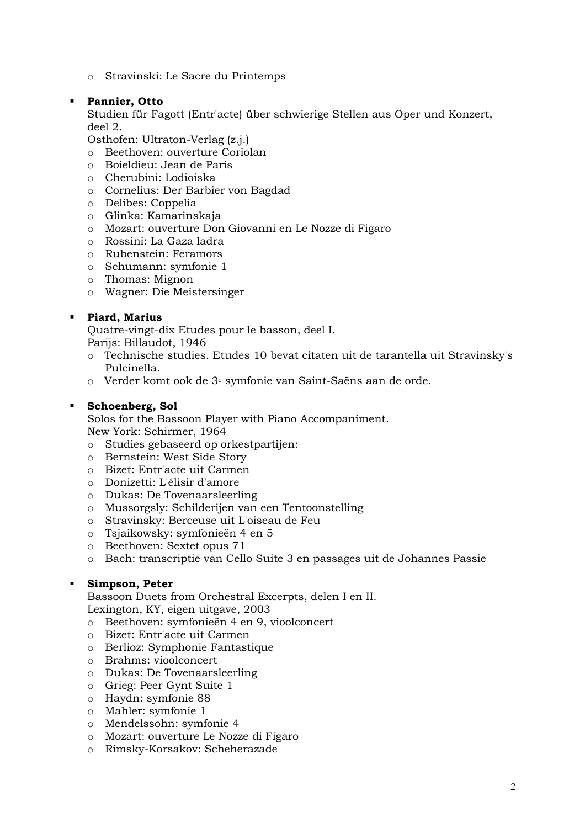o Stravinski: Le Sacre du Printemps

#### **Pannier, Otto**  $\blacksquare$

Studien für Fagott (Entr'acte) über schwierige Stellen aus Oper und Konzert,  $deel$  2.

Osthofen: Ultraton-Verlag (z.j.)

- o Beethoven: ouverture Coriolan
- o Boieldieu: Jean de Paris
- o Cherubini: Lodioiska
- o Cornelius: Der Barbier von Bagdad
- o Delibes: Coppelia
- o Glinka: Kamarinskaja
- o Mozart: ouverture Don Giovanni en Le Nozze di Figaro
- o Rossini: La Gaza ladra
- o Rubenstein: Feramors
- o Schumann: symfonie 1
- $\circ$  Thomas: Mignon
- o Wagner: Die Meistersinger

### **·** Piard, Marius

Quatre-vingt-dix Etudes pour le basson, deel I. Pariis: Billaudot, 1946

- o Technische studies. Etudes 10 bevat citaten uit de tarantella uit Stravinsky's Pulcinella.
- o Verder komt ook de 3<sup>e</sup> symfonie van Saint-Saëns aan de orde.

#### Schoenberg, Sol

Solos for the Bassoon Player with Piano Accompaniment. New York: Schirmer, 1964

- o Studies gebaseerd op orkestpartijen:
- o Bernstein: West Side Story
- o Bizet: Entr'acte uit Carmen
- o Donizetti: L'élisir d'amore
- o Dukas: De Tovenaarsleerling
- o Mussorgsly: Schilderijen van een Tentoonstelling
- o Stravinsky: Berceuse uit L'oiseau de Feu
- o Tsjaikowsky: symfonieën 4 en 5
- o Beethoven: Sextet opus 71
- o Bach: transcriptie van Cello Suite 3 en passages uit de Johannes Passie

### Simpson, Peter

Bassoon Duets from Orchestral Excerpts, delen I en II.

Lexington, KY, eigen uitgave, 2003

- o Beethoven: symfonieën 4 en 9, vioolconcert
- o Bizet: Entr'acte uit Carmen
- o Berlioz: Symphonie Fantastique
- o Brahms: vioolconcert
- o Dukas: De Tovenaarsleerling
- o Grieg: Peer Gynt Suite 1
- o Haydn: symfonie 88
- o Mahler: symfonie 1
- o Mendelssohn: symfonie 4
- o Mozart: ouverture Le Nozze di Figaro
- o Rimsky-Korsakov: Scheherazade